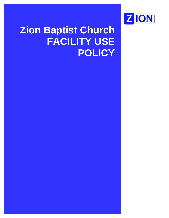

# **Zion Baptist Church FACILITY USE POLICY**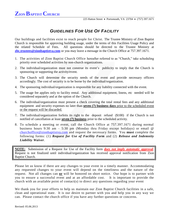# *GUIDELINES FOR USE OF FACILITY*

Our buildings and facilities exist to reach people for Christ. The Trustee Ministry of Zion Baptist Church is responsible for approving building usage, under the terms of this Facilities Usage Policy and the related Schedule of Fees. All questions should be directed to the Trustee Ministry at **[zbc.trustees@zionbaptistva.com](mailto:zbc.trustees@zionbaptistva.com)** or you may leave a message in the Church Office at 757.397.1671.

- 1. The activities of Zion Baptist Church Office hereafter referred to as "Church," take scheduling priority over scheduled activities by non-church organizations.
- 2. The individual/organization must not construe its event's publicity to imply that the Church is sponsoring or supporting the activity/event.
- 3. The Church will determine the security needs of the event and provide necessary officers accordingly. The cost of security is to be borne by the individual/organization.
- 4. The sponsoring individual/organization is responsible for any liability connected with the event.
- 5. The usage fee applies only to facility rental. Any additional equipment, linens, etc needed will be considered separately and at the option of the Church.
- 6. The individual/organization must present a check covering the total rental fees and any additional equipment and security expenses no later than **seven (7) business days** prior to the scheduled event or the request will be discarded.
- 7. The individual/organization forfeits its right to the deposit refund (\$100) if the Church is not notified of cancellation at least **seven (7) business** prior to the scheduled activity.
- 8. To schedule a meeting or event, call the Church Office at 757.397.1671 during normal business hours 9:30 am – 5:30 pm (Monday thru Friday except holidays) or email @ [churchoffice@zionbaptistva.com](mailto:churchoffice@zionbaptistva.com) and request the necessary forms. You **must** complete the following forms: (1) *Request for Use of Facility Form* and (2) *Release and Indemnity Liability Waiver*.

**NOTE:** Submission of a Request for Use of the Facility form *does not imply automatic approval*. Request is not finalized until individual/organization has received approval notification from Zion Baptist Church.

Please let us know if there are any changes to your event in a timely manner. Accommodating any requested changes to your event will depend on the timeliness and the nature of the request. Not all changes can **or** will be honored on short notice. Our hope is to partner with you to ensure a successful event and at an affordable cost. It is important to provide the church with an available point of contact(s) to direct any questions regarding your event

We thank you for your efforts to help us maintain our Zion Baptist Church facilities in a safe, clean and operational state. It is our desire to partner with you and help you in any way we can. Please contact the church office if you have any further questions or concerns.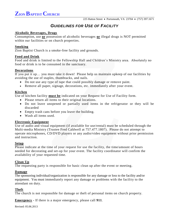# *GUIDELINES FOR USE OF FACILITY*

## **Alcoholic Beverages, Drugs**

Consumption, use **or** possession of alcoholic beverages **or** illegal drugs is NOT permitted within our facilities or on church properties.

#### **Smoking**

Zion Baptist Church is a smoke-free facility and grounds.

## **Food and Drink**

Food and drink is limited to the Fellowship Hall and Children's Ministry area. Absolutely no food or drink is to be consumed in the sanctuary.

## **Decorations**

If you put it up… you must take it down! Please help us maintain upkeep of our facilities by avoiding the use of staples, thumbtacks, and nails.

- Do not use any type of tape that could possibly damage or remove paint.
- Remove all paper, signage, decorations, etc. immediately after your event.

# **Kitchen**

Use of kitchen facility **must be** indicated on your Request for Use of Facility form.

- Please return all items to their original locations.
- Do not leave unopened or partially used items in the refrigerator or they will be discarded
- Empty trash cans before you leave the building.
- Wash all items used.

# **Electronic Equipment**

Use of audio and visual equipment (if available for use/rental) must be scheduled through the Multi-media Ministry (Trustee Fred Caldwell at 757.477.1807). Please do not attempt to operate microphones, CD/DVD players or any audio/video equipment without prior permission and instruction.

#### **Setup**

Please indicate at the time of your request for use the facility, the time/amount of hours needed for decorating and set-up for your event. The facility coordinator will confirm the availability of your requested time.

# **Clean Up**

The requesting party is responsible for basic clean up after the event or meeting.

# **Damage**

The sponsoring individual/organization is responsible for any damage or loss to the facility and/or equipment. You must immediately report any damage or problems with the facility to the attendant on duty.

# **Theft**

The church is not responsible for damage or theft of personal items on church property.

**Emergency -** If there is a major emergency, please call **911**.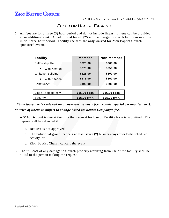225 Hatton Street • Portsmouth, VA 23704 • (757) 397.1671

# *FEES FOR USE OF FACILITY*

1. All fees are for a three (3) hour period and do not include linens. Linens can be provided at an additional cost. An additional fee of **\$25** will be charged for each half hour over the initial three-hour period. Facility use fees are **only** waived for Zion Baptist Churchsponsored events.

| \$225.00<br>\$300.00<br>\$275.00<br>\$350.00 |
|----------------------------------------------|
|                                              |
|                                              |
| \$300.00<br>\$225.00                         |
| \$275.00<br>\$350.00                         |
| \$200.00<br>\$100.00                         |
|                                              |

| Linen Tablecloths** | \$16.00 each   | \$16.00 each   |
|---------------------|----------------|----------------|
| Security            | $$25.00$ p/hr. | $$25.00$ p/hr. |

 *\*Sanctuary use is reviewed on a case-by-case basis (i.e. recitals, special ceremonies, etc.). \*\*Price of linens is subject to change based on Rental Company's fee.*

- 2. A **\$100 Deposit** is due at the time the Request for Use of Facility form is submitted. The deposit will be refunded if:
	- a. Request is not approved
	- b. The individual/group cancels at least **seven (7) business days** prior to the scheduled activity, or
	- c. Zion Baptist Church cancels the event
- 3. The full cost of any damage to Church property resulting from use of the facility shall be billed to the person making the request.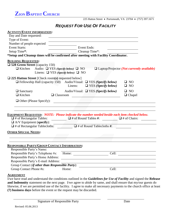**ZION BAPTIST CHURCH**

225 Hatton Street • Portsmouth, VA 23704 • (757) 397.1671

# *REQUEST FOR USE OF FACILITY*

| <b>ACTIVITY/EVENT INFORMATION:</b>                                                                                                                                                    |                                                                                                                                                                        |                                                            |
|---------------------------------------------------------------------------------------------------------------------------------------------------------------------------------------|------------------------------------------------------------------------------------------------------------------------------------------------------------------------|------------------------------------------------------------|
| Day and Date requested:                                                                                                                                                               |                                                                                                                                                                        |                                                            |
| Type of Event:                                                                                                                                                                        |                                                                                                                                                                        |                                                            |
| Number of people expected                                                                                                                                                             |                                                                                                                                                                        |                                                            |
| <b>Event Starts:</b>                                                                                                                                                                  | <b>Event Ends:</b>                                                                                                                                                     |                                                            |
| Setup Time*:                                                                                                                                                                          | Cleanup Time*:                                                                                                                                                         |                                                            |
|                                                                                                                                                                                       | *Setup and Cleanup times will be confirmed after meeting with Facility Coordinator.                                                                                    |                                                            |
| <b>BUILDING REQUESTED:</b><br>$\square$ 528 Green Street (capacity 150)<br>$\Box$ Kitchen Audio: $\Box$ YES (Specify below) $\Box$ NO<br>Linens: $\Box$ YES (Specify below) $\Box$ NO |                                                                                                                                                                        | $\Box$ Laptop/Projector ( <i>Not currently available</i> ) |
| $\Box$ 225 Hatton Street [Check room(s) requested below]                                                                                                                              | $\Box$ Fellowship Hall (capacity 150) Audio/Visual: $\Box$ YES (Specify below)<br>Linens: $\Box$ YES (Specify below)                                                   | $\square$ NO<br>$\square$ NO                               |
| $\Box$ Sanctuary<br>$\Box$ Kitchen<br>$\Box$ Classroom                                                                                                                                | Audio/Visual: $\Box$ YES (Specify below)<br><u> Andrew Marian Maria (1986)</u>                                                                                         | $\square$ NO<br>$\Box$ Chapel                              |
| $\Box$ Other (Please Specify):                                                                                                                                                        |                                                                                                                                                                        |                                                            |
| $\sqrt{\frac{1}{2} \pi \pi}$ of Rectangular Tables:<br>$\Box$ A/V Equipment (specify):<br>$\Box$ # of Rectangular Tablecloths:                                                        | <b>EQUIPMENT REQUESTED: NOTE: Please indicate the number needed beside each item checked below.</b><br>$\Box$ # of Round Tables #:<br>$\Box$ # of Round Tablecloths #: | $\Box$ # of Chairs:                                        |
| <b>OTHER SPECIAL NEEDS:</b>                                                                                                                                                           |                                                                                                                                                                        |                                                            |
| <b>RESPONSIBLE PARTY/GROUP CONTACT INFORMATION:</b>                                                                                                                                   |                                                                                                                                                                        |                                                            |
| Responsible Party's Name:<br>Responsible Party's E-mail Address:                                                                                                                      | Responsible Party's Telephone #s: Home: Cell: Cell:<br>Responsible Party's Home Address:                                                                               |                                                            |
| Group Contact (if other than Responsible Party): _______________________________                                                                                                      |                                                                                                                                                                        |                                                            |
| Group Contact Phone #s:                                                                                                                                                               | Home:                                                                                                                                                                  | Cell:                                                      |
|                                                                                                                                                                                       |                                                                                                                                                                        |                                                            |

#### **AGREEMENT**

I/we have read and understand the conditions outlined in the *Guidelines for Use of Facility* and signed the **Release and Indemnity** statement on the next page.I/we agree to abide by same, and shall ensure that my/our guests do likewise, if we are permitted use of the facility. I agree to make all necessary payments to the church office at least **(7) business days** before the event or the request may be discarded.